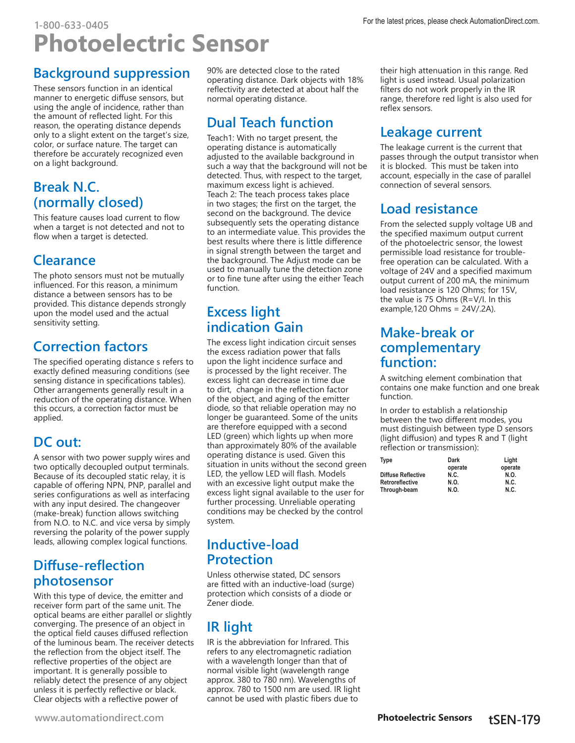## **Background suppression**

These sensors function in an identical manner to energetic diffuse sensors, but using the angle of incidence, rather than the amount of reflected light. For this reason, the operating distance depends only to a slight extent on the target's size, color, or surface nature. The target can therefore be accurately recognized even on a light background.

## **Break N.C. (normally closed)**

This feature causes load current to flow when a target is not detected and not to flow when a target is detected.

# **Clearance**

The photo sensors must not be mutually influenced. For this reason, a minimum distance a between sensors has to be provided. This distance depends strongly upon the model used and the actual sensitivity setting.

## **Correction factors**

The specified operating distance s refers to exactly defined measuring conditions (see sensing distance in specifications tables). Other arrangements generally result in a reduction of the operating distance. When this occurs, a correction factor must be applied.

# **DC out:**

A sensor with two power supply wires and two optically decoupled output terminals. Because of its decoupled static relay, it is capable of offering NPN, PNP, parallel and series configurations as well as interfacing with any input desired. The changeover (make-break) function allows switching from N.O. to N.C. and vice versa by simply reversing the polarity of the power supply leads, allowing complex logical functions.

## **Diffuse-reflection photosensor**

With this type of device, the emitter and receiver form part of the same unit. The optical beams are either parallel or slightly converging. The presence of an object in the optical field causes diffused reflection of the luminous beam. The receiver detects the reflection from the object itself. The reflective properties of the object are important. It is generally possible to reliably detect the presence of any object unless it is perfectly reflective or black. Clear objects with a reflective power of

90% are detected close to the rated operating distance. Dark objects with 18% reflectivity are detected at about half the normal operating distance.

# **Dual Teach function**

Teach1: With no target present, the operating distance is automatically adjusted to the available background in such a way that the background will not be detected. Thus, with respect to the target, maximum excess light is achieved. Teach 2: The teach process takes place in two stages; the first on the target, the second on the background. The device subsequently sets the operating distance to an intermediate value. This provides the best results where there is little difference in signal strength between the target and the background. The Adjust mode can be used to manually tune the detection zone or to fine tune after using the either Teach function.

## **Excess light indication Gain**

The excess light indication circuit senses the excess radiation power that falls upon the light incidence surface and is processed by the light receiver. The excess light can decrease in time due to dirt, change in the reflection factor of the object, and aging of the emitter diode, so that reliable operation may no longer be guaranteed. Some of the units are therefore equipped with a second LED (green) which lights up when more than approximately 80% of the available operating distance is used. Given this situation in units without the second green LED, the yellow LED will flash. Models with an excessive light output make the excess light signal available to the user for further processing. Unreliable operating conditions may be checked by the control system.

### **Inductive-load Protection**

Unless otherwise stated, DC sensors are fitted with an inductive-load (surge) protection which consists of a diode or Zener diode.

# **IR light**

IR is the abbreviation for Infrared. This refers to any electromagnetic radiation with a wavelength longer than that of normal visible light (wavelength range approx. 380 to 780 nm). Wavelengths of approx. 780 to 1500 nm are used. IR light cannot be used with plastic fibers due to

their high attenuation in this range. Red light is used instead. Usual polarization filters do not work properly in the IR range, therefore red light is also used for reflex sensors.

## **Leakage current**

The leakage current is the current that passes through the output transistor when it is blocked. This must be taken into account, especially in the case of parallel connection of several sensors.

# **Load resistance**

From the selected supply voltage UB and the specified maximum output current of the photoelectric sensor, the lowest permissible load resistance for troublefree operation can be calculated. With a voltage of 24V and a specified maximum output current of 200 mA, the minimum load resistance is 120 Ohms; for 15V, the value is 75 Ohms (R=V/I. In this example,120 Ohms = 24V/.2A).

### **Make-break or complementary function:**

A switching element combination that contains one make function and one break function.

In order to establish a relationship between the two different modes, you must distinguish between type D sensors (light diffusion) and types R and T (light reflection or transmission):

| Dark    | Liaht   |
|---------|---------|
| operate | operate |
| N.C.    | N.O.    |
| N.O.    | N.C.    |
| N.O.    | N.C.    |
|         |         |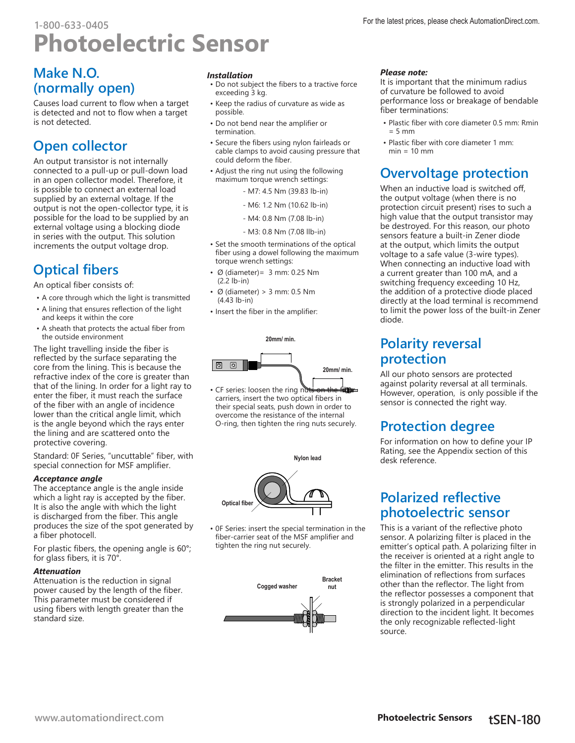### **Make N.O. (normally open)**

Causes load current to flow when a target is detected and not to flow when a target is not detected.

## **Open collector**

An output transistor is not internally connected to a pull-up or pull-down load in an open collector model. Therefore, it is possible to connect an external load supplied by an external voltage. If the output is not the open-collector type, it is possible for the load to be supplied by an external voltage using a blocking diode in series with the output. This solution increments the output voltage drop.

## **Optical fibers**

An optical fiber consists of:

- A core through which the light is transmitted
- A lining that ensures reflection of the light and keeps it within the core
- A sheath that protects the actual fiber from the outside environment

The light travelling inside the fiber is reflected by the surface separating the core from the lining. This is because the refractive index of the core is greater than that of the lining. In order for a light ray to enter the fiber, it must reach the surface of the fiber with an angle of incidence lower than the critical angle limit, which is the angle beyond which the rays enter the lining and are scattered onto the protective covering.

Standard: 0F Series, "uncuttable" fiber, with special connection for MSF amplifier.

#### *Acceptance angle*

The acceptance angle is the angle inside which a light ray is accepted by the fiber. It is also the angle with which the light is discharged from the fiber. This angle produces the size of the spot generated by a fiber photocell.

For plastic fibers, the opening angle is 60°; for glass fibers, it is 70°.

### *Attenuation*

Attenuation is the reduction in signal power caused by the length of the fiber. This parameter must be considered if using fibers with length greater than the standard size.

### *Installation*

- Do not subject the fibers to a tractive force exceeding 3 kg.
- Keep the radius of curvature as wide as possible.
- Do not bend near the amplifier or termination.
- Secure the fibers using nylon fairleads or cable clamps to avoid causing pressure that could deform the fiber.
- Adjust the ring nut using the following maximum torque wrench settings:
	- M7: 4.5 Nm (39.83 lb-in)
	- M6: 1.2 Nm (10.62 lb-in)
	- M4: 0.8 Nm (7.08 lb-in)
	- M3: 0.8 Nm (7.08 llb-in)
- Set the smooth terminations of the optical fiber using a dowel following the maximum torque wrench settings:
- $\cdot$  Ø (diameter) = 3 mm: 0.25 Nm (2.2 lb-in)
- $\cdot$  Ø (diameter) > 3 mm: 0.5 Nm (4.43 lb-in)
- Insert the fiber in the amplifier:

**20mm/ min.**



• CF series: loosen the ring n carriers, insert the two optical fibers in their special seats, push down in order to overcome the resistance of the internal O-ring, then tighten the ring nuts securely.



• 0F Series: insert the special termination in the fiber-carrier seat of the MSF amplifier and tighten the ring nut securely.



#### *Please note:*

It is important that the minimum radius of curvature be followed to avoid performance loss or breakage of bendable fiber terminations:

- Plastic fiber with core diameter 0.5 mm: Rmin  $= 5$  mm
- Plastic fiber with core diameter 1 mm:  $min = 10$  mm

## **Overvoltage protection**

When an inductive load is switched off, the output voltage (when there is no protection circuit present) rises to such a high value that the output transistor may be destroyed. For this reason, our photo sensors feature a built-in Zener diode at the output, which limits the output voltage to a safe value (3-wire types). When connecting an inductive load with a current greater than 100 mA, and a switching frequency exceeding 10 Hz, the addition of a protective diode placed directly at the load terminal is recommend to limit the power loss of the built-in Zener diode.

### **Polarity reversal protection**

All our photo sensors are protected against polarity reversal at all terminals. However, operation, is only possible if the sensor is connected the right way.

## **Protection degree**

For information on how to define your IP Rating, see the Appendix section of this desk reference.

### **Polarized reflective photoelectric sensor**

This is a variant of the reflective photo sensor. A polarizing filter is placed in the emitter's optical path. A polarizing filter in the receiver is oriented at a right angle to the filter in the emitter. This results in the elimination of reflections from surfaces other than the reflector. The light from the reflector possesses a component that is strongly polarized in a perpendicular direction to the incident light. It becomes the only recognizable reflected-light source.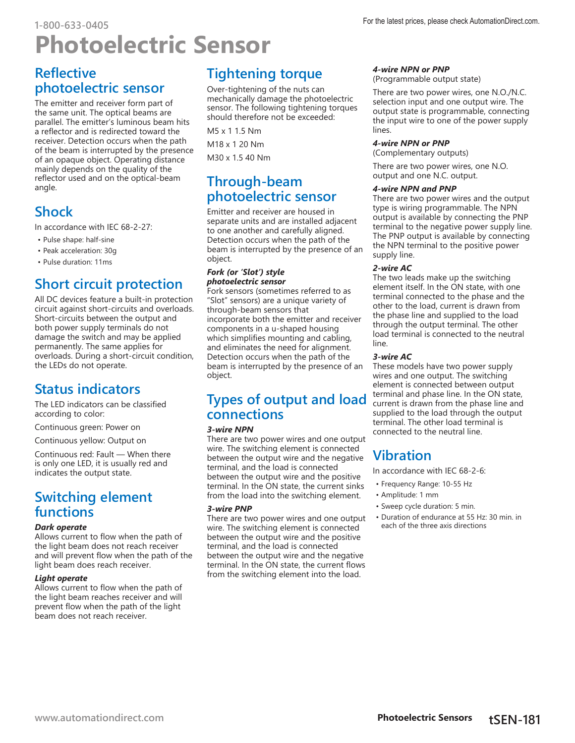### **Reflective photoelectric sensor**

The emitter and receiver form part of the same unit. The optical beams are parallel. The emitter's luminous beam hits a reflector and is redirected toward the receiver. Detection occurs when the path of the beam is interrupted by the presence of an opaque object. Operating distance mainly depends on the quality of the reflector used and on the optical-beam angle.

## **Shock**

In accordance with IEC 68-2-27:

- Pulse shape: half-sine
- Peak acceleration: 30g
- Pulse duration: 11ms

## **Short circuit protection**

All DC devices feature a built-in protection circuit against short-circuits and overloads. Short-circuits between the output and both power supply terminals do not damage the switch and may be applied permanently. The same applies for overloads. During a short-circuit condition, the LEDs do not operate.

### **Status indicators**

The LED indicators can be classified according to color:

Continuous green: Power on

Continuous yellow: Output on

Continuous red: Fault — When there is only one LED, it is usually red and indicates the output state.

## **Switching element functions**

#### *Dark operate*

Allows current to flow when the path of the light beam does not reach receiver and will prevent flow when the path of the light beam does reach receiver.

#### *Light operate*

Allows current to flow when the path of the light beam reaches receiver and will prevent flow when the path of the light beam does not reach receiver.

## **Tightening torque**

Over-tightening of the nuts can mechanically damage the photoelectric sensor. The following tightening torques should therefore not be exceeded:

M5 x 1 1.5 Nm M18 x 1 20 Nm

M30 x 1.5 40 Nm

### **Through-beam photoelectric sensor**

Emitter and receiver are housed in separate units and are installed adjacent to one another and carefully aligned. Detection occurs when the path of the beam is interrupted by the presence of an object.

### *Fork (or 'Slot') style photoelectric sensor*

Fork sensors (sometimes referred to as "Slot" sensors) are a unique variety of through-beam sensors that incorporate both the emitter and receiver components in a u-shaped housing which simplifies mounting and cabling, and eliminates the need for alignment. Detection occurs when the path of the beam is interrupted by the presence of an object.

### **Types of output and load connections**

### *3-wire NPN*

There are two power wires and one output wire. The switching element is connected between the output wire and the negative terminal, and the load is connected between the output wire and the positive terminal. In the ON state, the current sinks from the load into the switching element.

### *3-wire PNP*

There are two power wires and one output wire. The switching element is connected between the output wire and the positive terminal, and the load is connected between the output wire and the negative terminal. In the ON state, the current flows from the switching element into the load.

### *4-wire NPN or PNP*

(Programmable output state)

There are two power wires, one N.O./N.C. selection input and one output wire. The output state is programmable, connecting the input wire to one of the power supply lines.

#### *4-wire NPN or PNP*

(Complementary outputs)

There are two power wires, one N.O. output and one N.C. output.

### *4-wire NPN and PNP*

There are two power wires and the output type is wiring programmable. The NPN output is available by connecting the PNP terminal to the negative power supply line. The PNP output is available by connecting the NPN terminal to the positive power supply line.

### *2-wire AC*

The two leads make up the switching element itself. In the ON state, with one terminal connected to the phase and the other to the load, current is drawn from the phase line and supplied to the load through the output terminal. The other load terminal is connected to the neutral line.

### *3-wire AC*

These models have two power supply wires and one output. The switching element is connected between output terminal and phase line. In the ON state, current is drawn from the phase line and supplied to the load through the output terminal. The other load terminal is connected to the neutral line.

### **Vibration**

In accordance with IEC 68-2-6:

- Frequency Range: 10-55 Hz
- Amplitude: 1 mm
- Sweep cycle duration: 5 min.
- Duration of endurance at 55 Hz: 30 min. in each of the three axis directions